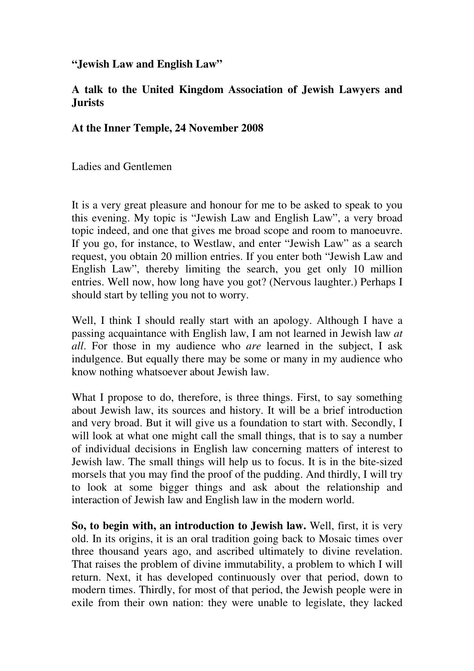**"Jewish Law and English Law"** 

## **A talk to the United Kingdom Association of Jewish Lawyers and Jurists**

## **At the Inner Temple, 24 November 2008**

Ladies and Gentlemen

It is a very great pleasure and honour for me to be asked to speak to you this evening. My topic is "Jewish Law and English Law", a very broad topic indeed, and one that gives me broad scope and room to manoeuvre. If you go, for instance, to Westlaw, and enter "Jewish Law" as a search request, you obtain 20 million entries. If you enter both "Jewish Law and English Law", thereby limiting the search, you get only 10 million entries. Well now, how long have you got? (Nervous laughter.) Perhaps I should start by telling you not to worry.

Well, I think I should really start with an apology. Although I have a passing acquaintance with English law, I am not learned in Jewish law *at all*. For those in my audience who *are* learned in the subject, I ask indulgence. But equally there may be some or many in my audience who know nothing whatsoever about Jewish law.

What I propose to do, therefore, is three things. First, to say something about Jewish law, its sources and history. It will be a brief introduction and very broad. But it will give us a foundation to start with. Secondly, I will look at what one might call the small things, that is to say a number of individual decisions in English law concerning matters of interest to Jewish law. The small things will help us to focus. It is in the bite-sized morsels that you may find the proof of the pudding. And thirdly, I will try to look at some bigger things and ask about the relationship and interaction of Jewish law and English law in the modern world.

**So, to begin with, an introduction to Jewish law.** Well, first, it is very old. In its origins, it is an oral tradition going back to Mosaic times over three thousand years ago, and ascribed ultimately to divine revelation. That raises the problem of divine immutability, a problem to which I will return. Next, it has developed continuously over that period, down to modern times. Thirdly, for most of that period, the Jewish people were in exile from their own nation: they were unable to legislate, they lacked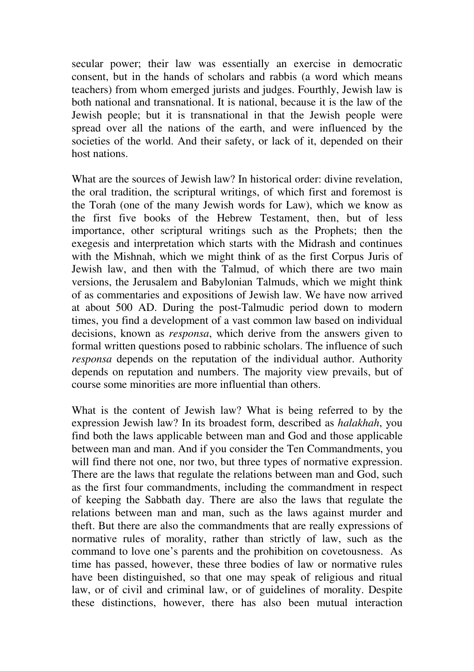secular power; their law was essentially an exercise in democratic consent, but in the hands of scholars and rabbis (a word which means teachers) from whom emerged jurists and judges. Fourthly, Jewish law is both national and transnational. It is national, because it is the law of the Jewish people; but it is transnational in that the Jewish people were spread over all the nations of the earth, and were influenced by the societies of the world. And their safety, or lack of it, depended on their host nations.

What are the sources of Jewish law? In historical order: divine revelation, the oral tradition, the scriptural writings, of which first and foremost is the Torah (one of the many Jewish words for Law), which we know as the first five books of the Hebrew Testament, then, but of less importance, other scriptural writings such as the Prophets; then the exegesis and interpretation which starts with the Midrash and continues with the Mishnah, which we might think of as the first Corpus Juris of Jewish law, and then with the Talmud, of which there are two main versions, the Jerusalem and Babylonian Talmuds, which we might think of as commentaries and expositions of Jewish law. We have now arrived at about 500 AD. During the post-Talmudic period down to modern times, you find a development of a vast common law based on individual decisions, known as *responsa*, which derive from the answers given to formal written questions posed to rabbinic scholars. The influence of such *responsa* depends on the reputation of the individual author. Authority depends on reputation and numbers. The majority view prevails, but of course some minorities are more influential than others.

What is the content of Jewish law? What is being referred to by the expression Jewish law? In its broadest form, described as *halakhah*, you find both the laws applicable between man and God and those applicable between man and man. And if you consider the Ten Commandments, you will find there not one, nor two, but three types of normative expression. There are the laws that regulate the relations between man and God, such as the first four commandments, including the commandment in respect of keeping the Sabbath day. There are also the laws that regulate the relations between man and man, such as the laws against murder and theft. But there are also the commandments that are really expressions of normative rules of morality, rather than strictly of law, such as the command to love one's parents and the prohibition on covetousness. As time has passed, however, these three bodies of law or normative rules have been distinguished, so that one may speak of religious and ritual law, or of civil and criminal law, or of guidelines of morality. Despite these distinctions, however, there has also been mutual interaction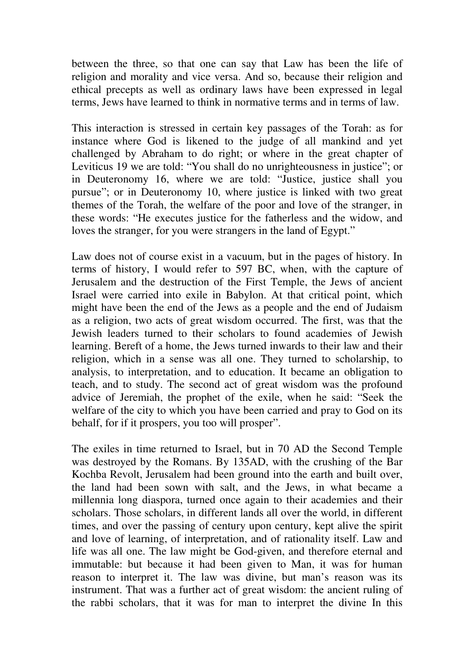between the three, so that one can say that Law has been the life of religion and morality and vice versa. And so, because their religion and ethical precepts as well as ordinary laws have been expressed in legal terms, Jews have learned to think in normative terms and in terms of law.

This interaction is stressed in certain key passages of the Torah: as for instance where God is likened to the judge of all mankind and yet challenged by Abraham to do right; or where in the great chapter of Leviticus 19 we are told: "You shall do no unrighteousness in justice"; or in Deuteronomy 16, where we are told: "Justice, justice shall you pursue"; or in Deuteronomy 10, where justice is linked with two great themes of the Torah, the welfare of the poor and love of the stranger, in these words: "He executes justice for the fatherless and the widow, and loves the stranger, for you were strangers in the land of Egypt."

Law does not of course exist in a vacuum, but in the pages of history. In terms of history, I would refer to 597 BC, when, with the capture of Jerusalem and the destruction of the First Temple, the Jews of ancient Israel were carried into exile in Babylon. At that critical point, which might have been the end of the Jews as a people and the end of Judaism as a religion, two acts of great wisdom occurred. The first, was that the Jewish leaders turned to their scholars to found academies of Jewish learning. Bereft of a home, the Jews turned inwards to their law and their religion, which in a sense was all one. They turned to scholarship, to analysis, to interpretation, and to education. It became an obligation to teach, and to study. The second act of great wisdom was the profound advice of Jeremiah, the prophet of the exile, when he said: "Seek the welfare of the city to which you have been carried and pray to God on its behalf, for if it prospers, you too will prosper".

The exiles in time returned to Israel, but in 70 AD the Second Temple was destroyed by the Romans. By 135AD, with the crushing of the Bar Kochba Revolt, Jerusalem had been ground into the earth and built over, the land had been sown with salt, and the Jews, in what became a millennia long diaspora, turned once again to their academies and their scholars. Those scholars, in different lands all over the world, in different times, and over the passing of century upon century, kept alive the spirit and love of learning, of interpretation, and of rationality itself. Law and life was all one. The law might be God-given, and therefore eternal and immutable: but because it had been given to Man, it was for human reason to interpret it. The law was divine, but man's reason was its instrument. That was a further act of great wisdom: the ancient ruling of the rabbi scholars, that it was for man to interpret the divine In this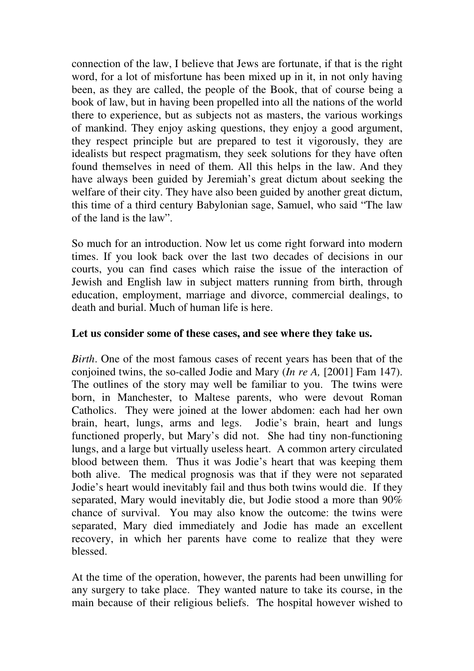connection of the law, I believe that Jews are fortunate, if that is the right word, for a lot of misfortune has been mixed up in it, in not only having been, as they are called, the people of the Book, that of course being a book of law, but in having been propelled into all the nations of the world there to experience, but as subjects not as masters, the various workings of mankind. They enjoy asking questions, they enjoy a good argument, they respect principle but are prepared to test it vigorously, they are idealists but respect pragmatism, they seek solutions for they have often found themselves in need of them. All this helps in the law. And they have always been guided by Jeremiah's great dictum about seeking the welfare of their city. They have also been guided by another great dictum, this time of a third century Babylonian sage, Samuel, who said "The law of the land is the law".

So much for an introduction. Now let us come right forward into modern times. If you look back over the last two decades of decisions in our courts, you can find cases which raise the issue of the interaction of Jewish and English law in subject matters running from birth, through education, employment, marriage and divorce, commercial dealings, to death and burial. Much of human life is here.

## **Let us consider some of these cases, and see where they take us.**

*Birth*. One of the most famous cases of recent years has been that of the conjoined twins, the so-called Jodie and Mary (*In re A,* [2001] Fam 147). The outlines of the story may well be familiar to you. The twins were born, in Manchester, to Maltese parents, who were devout Roman Catholics. They were joined at the lower abdomen: each had her own brain, heart, lungs, arms and legs. Jodie's brain, heart and lungs functioned properly, but Mary's did not. She had tiny non-functioning lungs, and a large but virtually useless heart. A common artery circulated blood between them. Thus it was Jodie's heart that was keeping them both alive. The medical prognosis was that if they were not separated Jodie's heart would inevitably fail and thus both twins would die. If they separated, Mary would inevitably die, but Jodie stood a more than 90% chance of survival. You may also know the outcome: the twins were separated, Mary died immediately and Jodie has made an excellent recovery, in which her parents have come to realize that they were blessed.

At the time of the operation, however, the parents had been unwilling for any surgery to take place. They wanted nature to take its course, in the main because of their religious beliefs. The hospital however wished to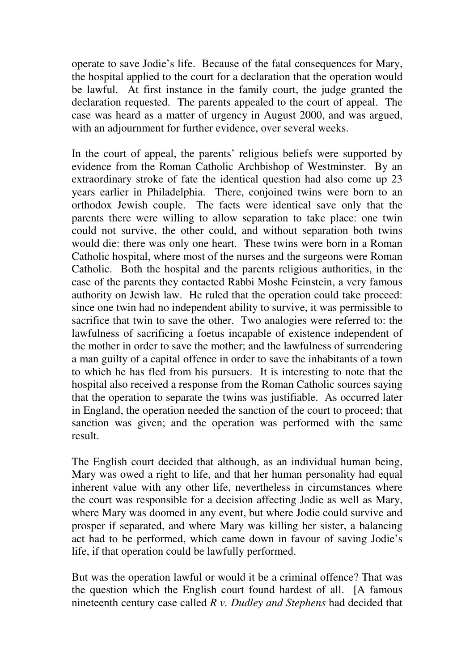operate to save Jodie's life. Because of the fatal consequences for Mary, the hospital applied to the court for a declaration that the operation would be lawful. At first instance in the family court, the judge granted the declaration requested. The parents appealed to the court of appeal. The case was heard as a matter of urgency in August 2000, and was argued, with an adjournment for further evidence, over several weeks.

In the court of appeal, the parents' religious beliefs were supported by evidence from the Roman Catholic Archbishop of Westminster. By an extraordinary stroke of fate the identical question had also come up 23 years earlier in Philadelphia. There, conjoined twins were born to an orthodox Jewish couple. The facts were identical save only that the parents there were willing to allow separation to take place: one twin could not survive, the other could, and without separation both twins would die: there was only one heart. These twins were born in a Roman Catholic hospital, where most of the nurses and the surgeons were Roman Catholic. Both the hospital and the parents religious authorities, in the case of the parents they contacted Rabbi Moshe Feinstein, a very famous authority on Jewish law. He ruled that the operation could take proceed: since one twin had no independent ability to survive, it was permissible to sacrifice that twin to save the other. Two analogies were referred to: the lawfulness of sacrificing a foetus incapable of existence independent of the mother in order to save the mother; and the lawfulness of surrendering a man guilty of a capital offence in order to save the inhabitants of a town to which he has fled from his pursuers. It is interesting to note that the hospital also received a response from the Roman Catholic sources saying that the operation to separate the twins was justifiable. As occurred later in England, the operation needed the sanction of the court to proceed; that sanction was given; and the operation was performed with the same result.

The English court decided that although, as an individual human being, Mary was owed a right to life, and that her human personality had equal inherent value with any other life, nevertheless in circumstances where the court was responsible for a decision affecting Jodie as well as Mary, where Mary was doomed in any event, but where Jodie could survive and prosper if separated, and where Mary was killing her sister, a balancing act had to be performed, which came down in favour of saving Jodie's life, if that operation could be lawfully performed.

But was the operation lawful or would it be a criminal offence? That was the question which the English court found hardest of all. [A famous nineteenth century case called *R v. Dudley and Stephens* had decided that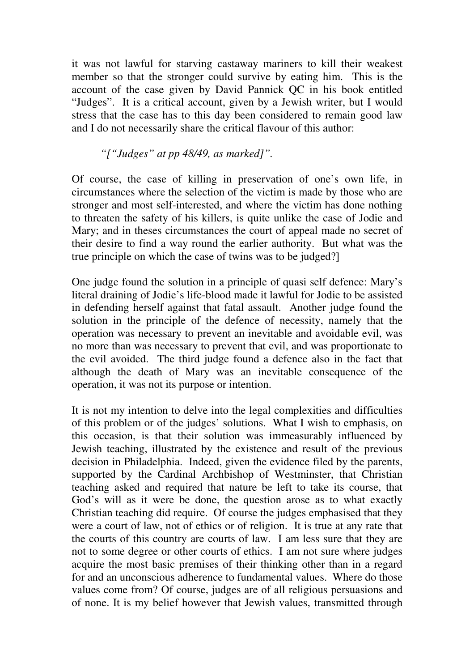it was not lawful for starving castaway mariners to kill their weakest member so that the stronger could survive by eating him. This is the account of the case given by David Pannick QC in his book entitled "Judges". It is a critical account, given by a Jewish writer, but I would stress that the case has to this day been considered to remain good law and I do not necessarily share the critical flavour of this author:

## *"["Judges" at pp 48/49, as marked]".*

Of course, the case of killing in preservation of one's own life, in circumstances where the selection of the victim is made by those who are stronger and most self-interested, and where the victim has done nothing to threaten the safety of his killers, is quite unlike the case of Jodie and Mary; and in theses circumstances the court of appeal made no secret of their desire to find a way round the earlier authority. But what was the true principle on which the case of twins was to be judged?]

One judge found the solution in a principle of quasi self defence: Mary's literal draining of Jodie's life-blood made it lawful for Jodie to be assisted in defending herself against that fatal assault. Another judge found the solution in the principle of the defence of necessity, namely that the operation was necessary to prevent an inevitable and avoidable evil, was no more than was necessary to prevent that evil, and was proportionate to the evil avoided. The third judge found a defence also in the fact that although the death of Mary was an inevitable consequence of the operation, it was not its purpose or intention.

It is not my intention to delve into the legal complexities and difficulties of this problem or of the judges' solutions. What I wish to emphasis, on this occasion, is that their solution was immeasurably influenced by Jewish teaching, illustrated by the existence and result of the previous decision in Philadelphia. Indeed, given the evidence filed by the parents, supported by the Cardinal Archbishop of Westminster, that Christian teaching asked and required that nature be left to take its course, that God's will as it were be done, the question arose as to what exactly Christian teaching did require. Of course the judges emphasised that they were a court of law, not of ethics or of religion. It is true at any rate that the courts of this country are courts of law. I am less sure that they are not to some degree or other courts of ethics. I am not sure where judges acquire the most basic premises of their thinking other than in a regard for and an unconscious adherence to fundamental values. Where do those values come from? Of course, judges are of all religious persuasions and of none. It is my belief however that Jewish values, transmitted through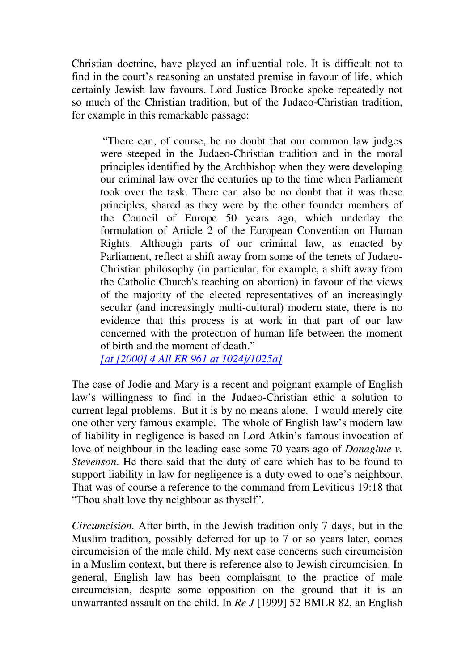Christian doctrine, have played an influential role. It is difficult not to find in the court's reasoning an unstated premise in favour of life, which certainly Jewish law favours. Lord Justice Brooke spoke repeatedly not so much of the Christian tradition, but of the Judaeo-Christian tradition, for example in this remarkable passage:

"There can, of course, be no doubt that our common law judges were steeped in the Judaeo-Christian tradition and in the moral principles identified by the Archbishop when they were developing our criminal law over the centuries up to the time when Parliament took over the task. There can also be no doubt that it was these principles, shared as they were by the other founder members of the Council of Europe 50 years ago, which underlay the formulation of Article 2 of the European Convention on Human Rights. Although parts of our criminal law, as enacted by Parliament, reflect a shift away from some of the tenets of Judaeo-Christian philosophy (in particular, for example, a shift away from the Catholic Church's teaching on abortion) in favour of the views of the majority of the elected representatives of an increasingly secular (and increasingly multi-cultural) modern state, there is no evidence that this process is at work in that part of our law concerned with the protection of human life between the moment of birth and the moment of death."

*[at [2000] 4 All ER 961 at 1024j/1025a]*

The case of Jodie and Mary is a recent and poignant example of English law's willingness to find in the Judaeo-Christian ethic a solution to current legal problems. But it is by no means alone. I would merely cite one other very famous example. The whole of English law's modern law of liability in negligence is based on Lord Atkin's famous invocation of love of neighbour in the leading case some 70 years ago of *Donaghue v. Stevenson*. He there said that the duty of care which has to be found to support liability in law for negligence is a duty owed to one's neighbour. That was of course a reference to the command from Leviticus 19:18 that "Thou shalt love thy neighbour as thyself".

*Circumcision.* After birth, in the Jewish tradition only 7 days, but in the Muslim tradition, possibly deferred for up to 7 or so years later, comes circumcision of the male child. My next case concerns such circumcision in a Muslim context, but there is reference also to Jewish circumcision. In general, English law has been complaisant to the practice of male circumcision, despite some opposition on the ground that it is an unwarranted assault on the child. In *Re J* [1999] 52 BMLR 82, an English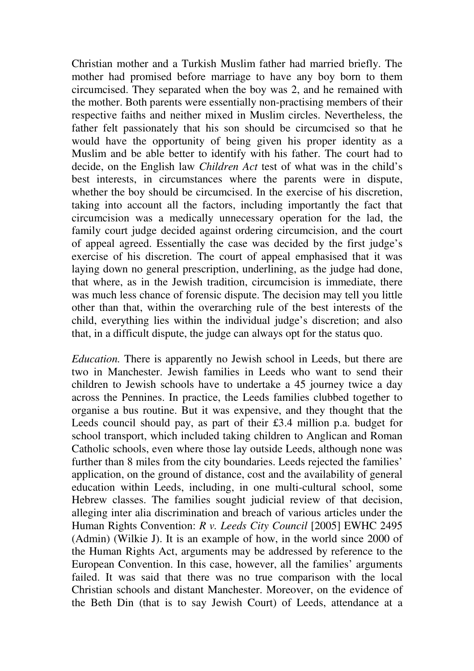Christian mother and a Turkish Muslim father had married briefly. The mother had promised before marriage to have any boy born to them circumcised. They separated when the boy was 2, and he remained with the mother. Both parents were essentially non-practising members of their respective faiths and neither mixed in Muslim circles. Nevertheless, the father felt passionately that his son should be circumcised so that he would have the opportunity of being given his proper identity as a Muslim and be able better to identify with his father. The court had to decide, on the English law *Children Act* test of what was in the child's best interests, in circumstances where the parents were in dispute, whether the boy should be circumcised. In the exercise of his discretion, taking into account all the factors, including importantly the fact that circumcision was a medically unnecessary operation for the lad, the family court judge decided against ordering circumcision, and the court of appeal agreed. Essentially the case was decided by the first judge's exercise of his discretion. The court of appeal emphasised that it was laying down no general prescription, underlining, as the judge had done, that where, as in the Jewish tradition, circumcision is immediate, there was much less chance of forensic dispute. The decision may tell you little other than that, within the overarching rule of the best interests of the child, everything lies within the individual judge's discretion; and also that, in a difficult dispute, the judge can always opt for the status quo.

*Education.* There is apparently no Jewish school in Leeds, but there are two in Manchester. Jewish families in Leeds who want to send their children to Jewish schools have to undertake a 45 journey twice a day across the Pennines. In practice, the Leeds families clubbed together to organise a bus routine. But it was expensive, and they thought that the Leeds council should pay, as part of their £3.4 million p.a. budget for school transport, which included taking children to Anglican and Roman Catholic schools, even where those lay outside Leeds, although none was further than 8 miles from the city boundaries. Leeds rejected the families' application, on the ground of distance, cost and the availability of general education within Leeds, including, in one multi-cultural school, some Hebrew classes. The families sought judicial review of that decision, alleging inter alia discrimination and breach of various articles under the Human Rights Convention: *R v. Leeds City Council* [2005] EWHC 2495 (Admin) (Wilkie J). It is an example of how, in the world since 2000 of the Human Rights Act, arguments may be addressed by reference to the European Convention. In this case, however, all the families' arguments failed. It was said that there was no true comparison with the local Christian schools and distant Manchester. Moreover, on the evidence of the Beth Din (that is to say Jewish Court) of Leeds, attendance at a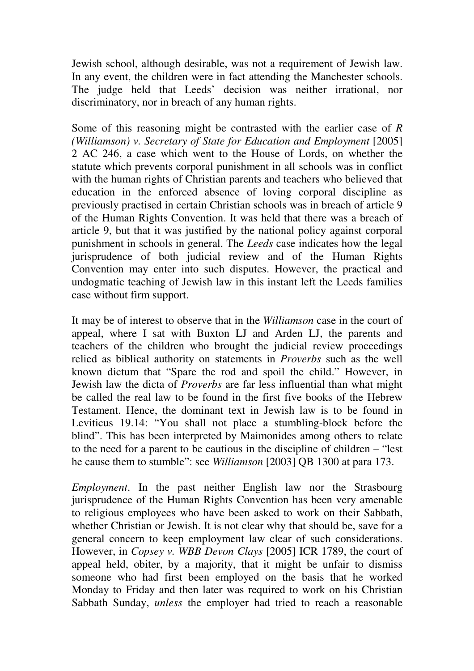Jewish school, although desirable, was not a requirement of Jewish law. In any event, the children were in fact attending the Manchester schools. The judge held that Leeds' decision was neither irrational, nor discriminatory, nor in breach of any human rights.

Some of this reasoning might be contrasted with the earlier case of *R (Williamson) v. Secretary of State for Education and Employment [2005]* 2 AC 246, a case which went to the House of Lords, on whether the statute which prevents corporal punishment in all schools was in conflict with the human rights of Christian parents and teachers who believed that education in the enforced absence of loving corporal discipline as previously practised in certain Christian schools was in breach of article 9 of the Human Rights Convention. It was held that there was a breach of article 9, but that it was justified by the national policy against corporal punishment in schools in general. The *Leeds* case indicates how the legal jurisprudence of both judicial review and of the Human Rights Convention may enter into such disputes. However, the practical and undogmatic teaching of Jewish law in this instant left the Leeds families case without firm support.

It may be of interest to observe that in the *Williamson* case in the court of appeal, where I sat with Buxton LJ and Arden LJ, the parents and teachers of the children who brought the judicial review proceedings relied as biblical authority on statements in *Proverbs* such as the well known dictum that "Spare the rod and spoil the child." However, in Jewish law the dicta of *Proverbs* are far less influential than what might be called the real law to be found in the first five books of the Hebrew Testament. Hence, the dominant text in Jewish law is to be found in Leviticus 19.14: "You shall not place a stumbling-block before the blind". This has been interpreted by Maimonides among others to relate to the need for a parent to be cautious in the discipline of children – "lest he cause them to stumble": see *Williamson* [2003] QB 1300 at para 173.

*Employment*. In the past neither English law nor the Strasbourg jurisprudence of the Human Rights Convention has been very amenable to religious employees who have been asked to work on their Sabbath, whether Christian or Jewish. It is not clear why that should be, save for a general concern to keep employment law clear of such considerations. However, in *Copsey v. WBB Devon Clays* [2005] ICR 1789, the court of appeal held, obiter, by a majority, that it might be unfair to dismiss someone who had first been employed on the basis that he worked Monday to Friday and then later was required to work on his Christian Sabbath Sunday, *unless* the employer had tried to reach a reasonable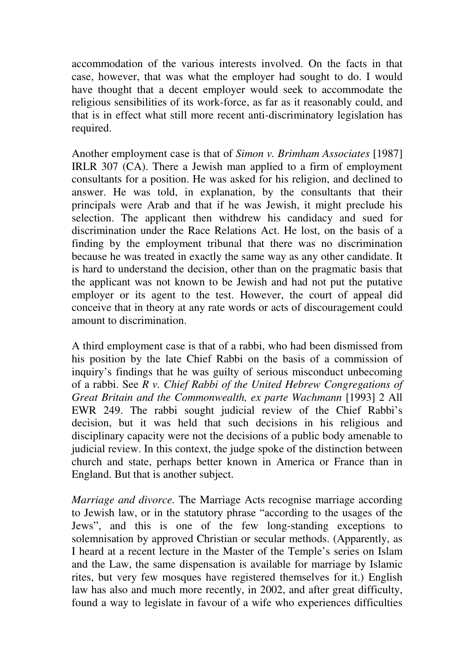accommodation of the various interests involved. On the facts in that case, however, that was what the employer had sought to do. I would have thought that a decent employer would seek to accommodate the religious sensibilities of its work-force, as far as it reasonably could, and that is in effect what still more recent anti-discriminatory legislation has required.

Another employment case is that of *Simon v. Brimham Associates* [1987] IRLR 307 (CA). There a Jewish man applied to a firm of employment consultants for a position. He was asked for his religion, and declined to answer. He was told, in explanation, by the consultants that their principals were Arab and that if he was Jewish, it might preclude his selection. The applicant then withdrew his candidacy and sued for discrimination under the Race Relations Act. He lost, on the basis of a finding by the employment tribunal that there was no discrimination because he was treated in exactly the same way as any other candidate. It is hard to understand the decision, other than on the pragmatic basis that the applicant was not known to be Jewish and had not put the putative employer or its agent to the test. However, the court of appeal did conceive that in theory at any rate words or acts of discouragement could amount to discrimination.

A third employment case is that of a rabbi, who had been dismissed from his position by the late Chief Rabbi on the basis of a commission of inquiry's findings that he was guilty of serious misconduct unbecoming of a rabbi. See *R v. Chief Rabbi of the United Hebrew Congregations of Great Britain and the Commonwealth, ex parte Wachmann* [1993] 2 All EWR 249. The rabbi sought judicial review of the Chief Rabbi's decision, but it was held that such decisions in his religious and disciplinary capacity were not the decisions of a public body amenable to judicial review. In this context, the judge spoke of the distinction between church and state, perhaps better known in America or France than in England. But that is another subject.

*Marriage and divorce.* The Marriage Acts recognise marriage according to Jewish law, or in the statutory phrase "according to the usages of the Jews", and this is one of the few long-standing exceptions to solemnisation by approved Christian or secular methods. (Apparently, as I heard at a recent lecture in the Master of the Temple's series on Islam and the Law, the same dispensation is available for marriage by Islamic rites, but very few mosques have registered themselves for it.) English law has also and much more recently, in 2002, and after great difficulty, found a way to legislate in favour of a wife who experiences difficulties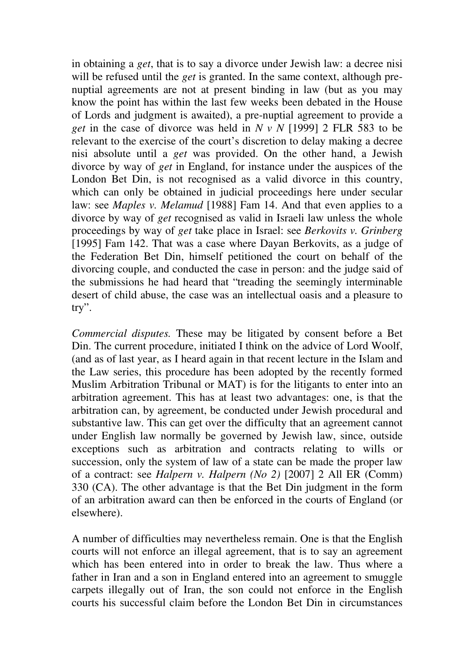in obtaining a *get*, that is to say a divorce under Jewish law: a decree nisi will be refused until the *get* is granted. In the same context, although prenuptial agreements are not at present binding in law (but as you may know the point has within the last few weeks been debated in the House of Lords and judgment is awaited), a pre-nuptial agreement to provide a *get* in the case of divorce was held in *N v N* [1999] 2 FLR 583 to be relevant to the exercise of the court's discretion to delay making a decree nisi absolute until a *get* was provided. On the other hand, a Jewish divorce by way of *get* in England, for instance under the auspices of the London Bet Din, is not recognised as a valid divorce in this country, which can only be obtained in judicial proceedings here under secular law: see *Maples v. Melamud* [1988] Fam 14. And that even applies to a divorce by way of *get* recognised as valid in Israeli law unless the whole proceedings by way of *get* take place in Israel: see *Berkovits v. Grinberg*  [1995] Fam 142. That was a case where Dayan Berkovits, as a judge of the Federation Bet Din, himself petitioned the court on behalf of the divorcing couple, and conducted the case in person: and the judge said of the submissions he had heard that "treading the seemingly interminable desert of child abuse, the case was an intellectual oasis and a pleasure to try".

*Commercial disputes.* These may be litigated by consent before a Bet Din. The current procedure, initiated I think on the advice of Lord Woolf, (and as of last year, as I heard again in that recent lecture in the Islam and the Law series, this procedure has been adopted by the recently formed Muslim Arbitration Tribunal or MAT) is for the litigants to enter into an arbitration agreement. This has at least two advantages: one, is that the arbitration can, by agreement, be conducted under Jewish procedural and substantive law. This can get over the difficulty that an agreement cannot under English law normally be governed by Jewish law, since, outside exceptions such as arbitration and contracts relating to wills or succession, only the system of law of a state can be made the proper law of a contract: see *Halpern v. Halpern (No 2)* [2007] 2 All ER (Comm) 330 (CA). The other advantage is that the Bet Din judgment in the form of an arbitration award can then be enforced in the courts of England (or elsewhere).

A number of difficulties may nevertheless remain. One is that the English courts will not enforce an illegal agreement, that is to say an agreement which has been entered into in order to break the law. Thus where a father in Iran and a son in England entered into an agreement to smuggle carpets illegally out of Iran, the son could not enforce in the English courts his successful claim before the London Bet Din in circumstances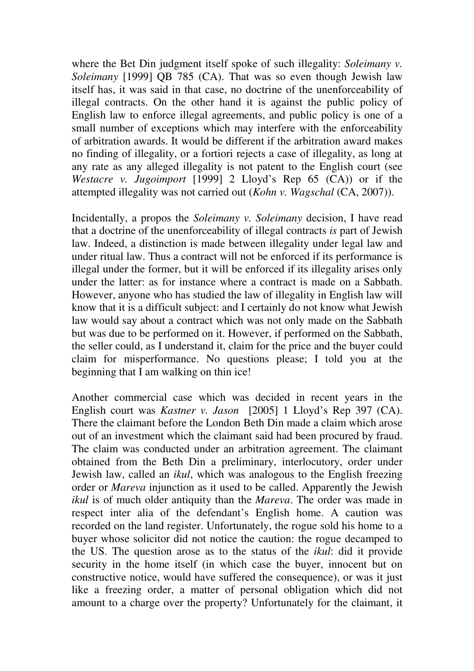where the Bet Din judgment itself spoke of such illegality: *Soleimany v. Soleimany* [1999] QB 785 (CA). That was so even though Jewish law itself has, it was said in that case, no doctrine of the unenforceability of illegal contracts. On the other hand it is against the public policy of English law to enforce illegal agreements, and public policy is one of a small number of exceptions which may interfere with the enforceability of arbitration awards. It would be different if the arbitration award makes no finding of illegality, or a fortiori rejects a case of illegality, as long at any rate as any alleged illegality is not patent to the English court (see *Westacre v. Jugoimport* [1999] 2 Lloyd's Rep 65 (CA)) or if the attempted illegality was not carried out (*Kohn v. Wagschal* (CA, 2007)).

Incidentally, a propos the *Soleimany v. Soleimany* decision, I have read that a doctrine of the unenforceability of illegal contracts *is* part of Jewish law. Indeed, a distinction is made between illegality under legal law and under ritual law. Thus a contract will not be enforced if its performance is illegal under the former, but it will be enforced if its illegality arises only under the latter: as for instance where a contract is made on a Sabbath. However, anyone who has studied the law of illegality in English law will know that it is a difficult subject: and I certainly do not know what Jewish law would say about a contract which was not only made on the Sabbath but was due to be performed on it. However, if performed on the Sabbath, the seller could, as I understand it, claim for the price and the buyer could claim for misperformance. No questions please; I told you at the beginning that I am walking on thin ice!

Another commercial case which was decided in recent years in the English court was *Kastner v. Jason* [2005] 1 Lloyd's Rep 397 (CA). There the claimant before the London Beth Din made a claim which arose out of an investment which the claimant said had been procured by fraud. The claim was conducted under an arbitration agreement. The claimant obtained from the Beth Din a preliminary, interlocutory, order under Jewish law, called an *ikul*, which was analogous to the English freezing order or *Mareva* injunction as it used to be called. Apparently the Jewish *ikul* is of much older antiquity than the *Mareva*. The order was made in respect inter alia of the defendant's English home. A caution was recorded on the land register. Unfortunately, the rogue sold his home to a buyer whose solicitor did not notice the caution: the rogue decamped to the US. The question arose as to the status of the *ikul*: did it provide security in the home itself (in which case the buyer, innocent but on constructive notice, would have suffered the consequence), or was it just like a freezing order, a matter of personal obligation which did not amount to a charge over the property? Unfortunately for the claimant, it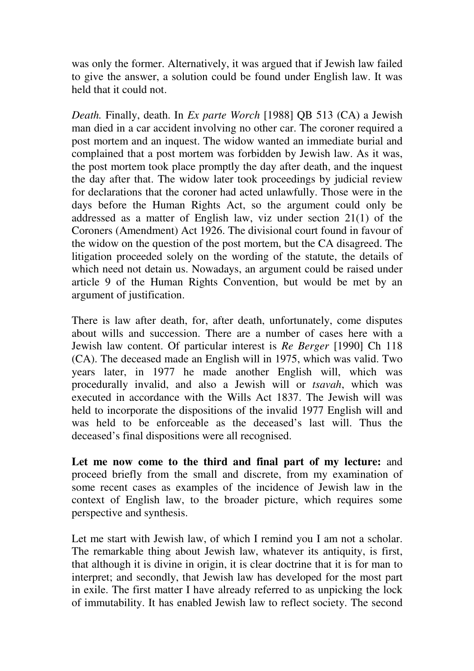was only the former. Alternatively, it was argued that if Jewish law failed to give the answer, a solution could be found under English law. It was held that it could not.

*Death.* Finally, death. In *Ex parte Worch* [1988] QB 513 (CA) a Jewish man died in a car accident involving no other car. The coroner required a post mortem and an inquest. The widow wanted an immediate burial and complained that a post mortem was forbidden by Jewish law. As it was, the post mortem took place promptly the day after death, and the inquest the day after that. The widow later took proceedings by judicial review for declarations that the coroner had acted unlawfully. Those were in the days before the Human Rights Act, so the argument could only be addressed as a matter of English law, viz under section 21(1) of the Coroners (Amendment) Act 1926. The divisional court found in favour of the widow on the question of the post mortem, but the CA disagreed. The litigation proceeded solely on the wording of the statute, the details of which need not detain us. Nowadays, an argument could be raised under article 9 of the Human Rights Convention, but would be met by an argument of justification.

There is law after death, for, after death, unfortunately, come disputes about wills and succession. There are a number of cases here with a Jewish law content. Of particular interest is *Re Berger* [1990] Ch 118 (CA). The deceased made an English will in 1975, which was valid. Two years later, in 1977 he made another English will, which was procedurally invalid, and also a Jewish will or *tsavah*, which was executed in accordance with the Wills Act 1837. The Jewish will was held to incorporate the dispositions of the invalid 1977 English will and was held to be enforceable as the deceased's last will. Thus the deceased's final dispositions were all recognised.

**Let me now come to the third and final part of my lecture:** and proceed briefly from the small and discrete, from my examination of some recent cases as examples of the incidence of Jewish law in the context of English law, to the broader picture, which requires some perspective and synthesis.

Let me start with Jewish law, of which I remind you I am not a scholar. The remarkable thing about Jewish law, whatever its antiquity, is first, that although it is divine in origin, it is clear doctrine that it is for man to interpret; and secondly, that Jewish law has developed for the most part in exile. The first matter I have already referred to as unpicking the lock of immutability. It has enabled Jewish law to reflect society. The second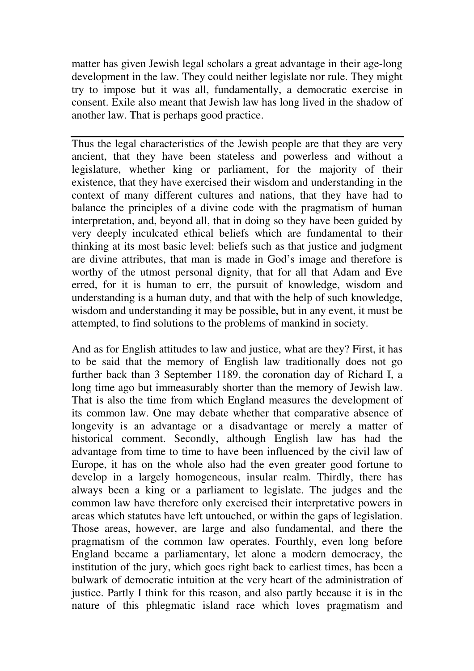matter has given Jewish legal scholars a great advantage in their age-long development in the law. They could neither legislate nor rule. They might try to impose but it was all, fundamentally, a democratic exercise in consent. Exile also meant that Jewish law has long lived in the shadow of another law. That is perhaps good practice.

Thus the legal characteristics of the Jewish people are that they are very ancient, that they have been stateless and powerless and without a legislature, whether king or parliament, for the majority of their existence, that they have exercised their wisdom and understanding in the context of many different cultures and nations, that they have had to balance the principles of a divine code with the pragmatism of human interpretation, and, beyond all, that in doing so they have been guided by very deeply inculcated ethical beliefs which are fundamental to their thinking at its most basic level: beliefs such as that justice and judgment are divine attributes, that man is made in God's image and therefore is worthy of the utmost personal dignity, that for all that Adam and Eve erred, for it is human to err, the pursuit of knowledge, wisdom and understanding is a human duty, and that with the help of such knowledge, wisdom and understanding it may be possible, but in any event, it must be attempted, to find solutions to the problems of mankind in society.

And as for English attitudes to law and justice, what are they? First, it has to be said that the memory of English law traditionally does not go further back than 3 September 1189, the coronation day of Richard I, a long time ago but immeasurably shorter than the memory of Jewish law. That is also the time from which England measures the development of its common law. One may debate whether that comparative absence of longevity is an advantage or a disadvantage or merely a matter of historical comment. Secondly, although English law has had the advantage from time to time to have been influenced by the civil law of Europe, it has on the whole also had the even greater good fortune to develop in a largely homogeneous, insular realm. Thirdly, there has always been a king or a parliament to legislate. The judges and the common law have therefore only exercised their interpretative powers in areas which statutes have left untouched, or within the gaps of legislation. Those areas, however, are large and also fundamental, and there the pragmatism of the common law operates. Fourthly, even long before England became a parliamentary, let alone a modern democracy, the institution of the jury, which goes right back to earliest times, has been a bulwark of democratic intuition at the very heart of the administration of justice. Partly I think for this reason, and also partly because it is in the nature of this phlegmatic island race which loves pragmatism and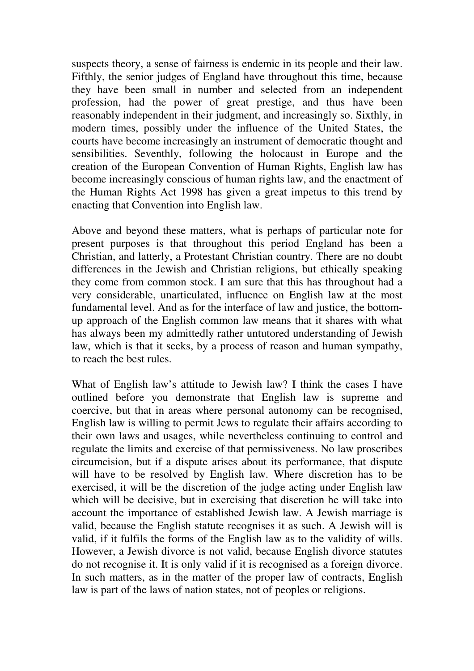suspects theory, a sense of fairness is endemic in its people and their law. Fifthly, the senior judges of England have throughout this time, because they have been small in number and selected from an independent profession, had the power of great prestige, and thus have been reasonably independent in their judgment, and increasingly so. Sixthly, in modern times, possibly under the influence of the United States, the courts have become increasingly an instrument of democratic thought and sensibilities. Seventhly, following the holocaust in Europe and the creation of the European Convention of Human Rights, English law has become increasingly conscious of human rights law, and the enactment of the Human Rights Act 1998 has given a great impetus to this trend by enacting that Convention into English law.

Above and beyond these matters, what is perhaps of particular note for present purposes is that throughout this period England has been a Christian, and latterly, a Protestant Christian country. There are no doubt differences in the Jewish and Christian religions, but ethically speaking they come from common stock. I am sure that this has throughout had a very considerable, unarticulated, influence on English law at the most fundamental level. And as for the interface of law and justice, the bottomup approach of the English common law means that it shares with what has always been my admittedly rather untutored understanding of Jewish law, which is that it seeks, by a process of reason and human sympathy, to reach the best rules.

What of English law's attitude to Jewish law? I think the cases I have outlined before you demonstrate that English law is supreme and coercive, but that in areas where personal autonomy can be recognised, English law is willing to permit Jews to regulate their affairs according to their own laws and usages, while nevertheless continuing to control and regulate the limits and exercise of that permissiveness. No law proscribes circumcision, but if a dispute arises about its performance, that dispute will have to be resolved by English law. Where discretion has to be exercised, it will be the discretion of the judge acting under English law which will be decisive, but in exercising that discretion he will take into account the importance of established Jewish law. A Jewish marriage is valid, because the English statute recognises it as such. A Jewish will is valid, if it fulfils the forms of the English law as to the validity of wills. However, a Jewish divorce is not valid, because English divorce statutes do not recognise it. It is only valid if it is recognised as a foreign divorce. In such matters, as in the matter of the proper law of contracts, English law is part of the laws of nation states, not of peoples or religions.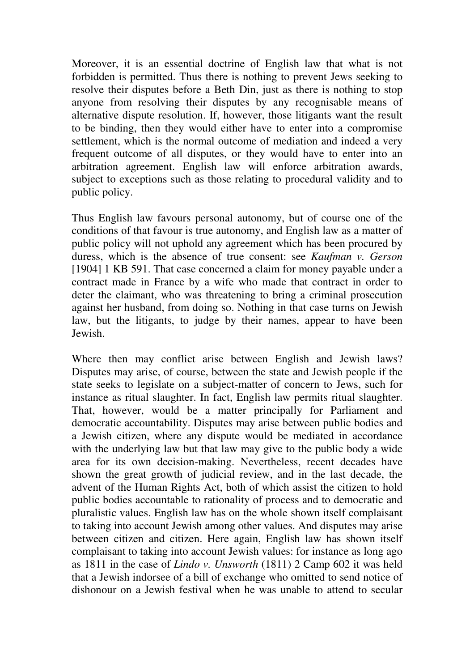Moreover, it is an essential doctrine of English law that what is not forbidden is permitted. Thus there is nothing to prevent Jews seeking to resolve their disputes before a Beth Din, just as there is nothing to stop anyone from resolving their disputes by any recognisable means of alternative dispute resolution. If, however, those litigants want the result to be binding, then they would either have to enter into a compromise settlement, which is the normal outcome of mediation and indeed a very frequent outcome of all disputes, or they would have to enter into an arbitration agreement. English law will enforce arbitration awards, subject to exceptions such as those relating to procedural validity and to public policy.

Thus English law favours personal autonomy, but of course one of the conditions of that favour is true autonomy, and English law as a matter of public policy will not uphold any agreement which has been procured by duress, which is the absence of true consent: see *Kaufman v. Gerson*  [1904] 1 KB 591. That case concerned a claim for money payable under a contract made in France by a wife who made that contract in order to deter the claimant, who was threatening to bring a criminal prosecution against her husband, from doing so. Nothing in that case turns on Jewish law, but the litigants, to judge by their names, appear to have been Jewish.

Where then may conflict arise between English and Jewish laws? Disputes may arise, of course, between the state and Jewish people if the state seeks to legislate on a subject-matter of concern to Jews, such for instance as ritual slaughter. In fact, English law permits ritual slaughter. That, however, would be a matter principally for Parliament and democratic accountability. Disputes may arise between public bodies and a Jewish citizen, where any dispute would be mediated in accordance with the underlying law but that law may give to the public body a wide area for its own decision-making. Nevertheless, recent decades have shown the great growth of judicial review, and in the last decade, the advent of the Human Rights Act, both of which assist the citizen to hold public bodies accountable to rationality of process and to democratic and pluralistic values. English law has on the whole shown itself complaisant to taking into account Jewish among other values. And disputes may arise between citizen and citizen. Here again, English law has shown itself complaisant to taking into account Jewish values: for instance as long ago as 1811 in the case of *Lindo v. Unsworth* (1811) 2 Camp 602 it was held that a Jewish indorsee of a bill of exchange who omitted to send notice of dishonour on a Jewish festival when he was unable to attend to secular